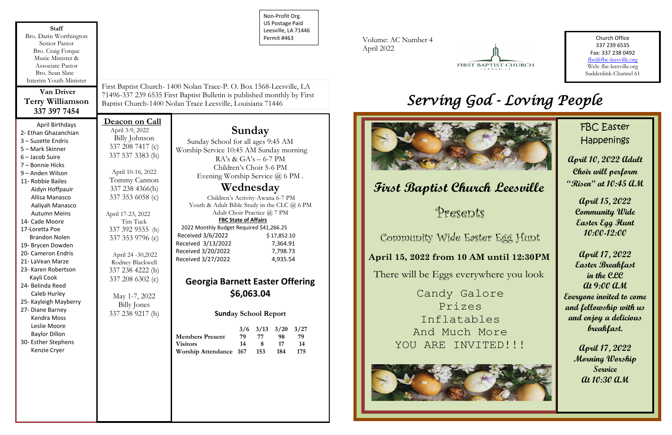Non-Profit Org. US Postage Paid Leesville, LA 71446 Permit #463

| <b>Staff</b><br>Bro. Darin Worthington<br>Senior Pastor<br>Bro. Craig Forque<br>Music Minister &<br>Associate Pastor                                                                                                                                                                                                                                                                                                                                                                                                                                                                              |                                                                                                                                                                                                                                                                                                                                                                                             |                                                                                                                                                                                                                                                 | NOIT-PIONE OIR.<br><b>US Postage Paid</b><br>Leesville, LA 71446<br>Permit #463                                                                                                                                                                                                                                                                                                                                                                                                                                                                              |
|---------------------------------------------------------------------------------------------------------------------------------------------------------------------------------------------------------------------------------------------------------------------------------------------------------------------------------------------------------------------------------------------------------------------------------------------------------------------------------------------------------------------------------------------------------------------------------------------------|---------------------------------------------------------------------------------------------------------------------------------------------------------------------------------------------------------------------------------------------------------------------------------------------------------------------------------------------------------------------------------------------|-------------------------------------------------------------------------------------------------------------------------------------------------------------------------------------------------------------------------------------------------|--------------------------------------------------------------------------------------------------------------------------------------------------------------------------------------------------------------------------------------------------------------------------------------------------------------------------------------------------------------------------------------------------------------------------------------------------------------------------------------------------------------------------------------------------------------|
| Bro. Sean Slate<br>Interim Youth Minister                                                                                                                                                                                                                                                                                                                                                                                                                                                                                                                                                         |                                                                                                                                                                                                                                                                                                                                                                                             |                                                                                                                                                                                                                                                 |                                                                                                                                                                                                                                                                                                                                                                                                                                                                                                                                                              |
| <b>Van Driver</b><br><b>Terry Williamson</b><br>337 397 7454                                                                                                                                                                                                                                                                                                                                                                                                                                                                                                                                      | First Baptist Church- 1400 Nolan Trace-P. O. Box 1568-Leesville, LA<br>71496-337 239 6535 First Baptist Bulletin is published monthly by First<br>Baptist Church-1400 Nolan Trace Leesville, Louisiana 71446                                                                                                                                                                                |                                                                                                                                                                                                                                                 |                                                                                                                                                                                                                                                                                                                                                                                                                                                                                                                                                              |
| April Birthdays<br>2- Ethan Ghazanchian<br>3 - Suzette Endris<br>5 - Mark Skinner<br>$6 -$ Jacob Suire<br>7 - Bonnie Hicks<br>9 - Anden Wilson<br>11- Robbie Bailes<br>Aidyn Hoffpauir<br>Allisa Manasco<br>Aaliyah Manasco<br><b>Autumn Meins</b><br>14- Cade Moore<br>17-Loretta Poe<br><b>Brandon Nolen</b><br>19- Brycen Dowden<br>20- Cameron Endris<br>21- LaVean Marze<br>23- Karen Robertson<br>Kayli Cook<br>24- Belinda Reed<br>Caleb Hurley<br>25- Kayleigh Mayberry<br>27- Diane Barney<br>Kendra Moss<br>Leslie Moore<br><b>Baylor Dillon</b><br>30- Esther Stephens<br>Kenzie Cryer | Deacon on Call<br>April 3-9, 2022<br>Billy Johnson<br>337 208 7417 (c)<br>337 537 3383 (h)<br>April 10-16, 2022<br>Tommy Cannon<br>337 238 4366(h)<br>337 353 6058 (c)<br>April 17-23, 2022<br>Tim Tuck<br>337 392 9555 (h)<br>337 353 9796 (c)<br>April 24 -30,2022<br>Rodney Blackwell<br>337 238 4222 (h)<br>337 208 6302 (c)<br>May 1-7, 2022<br><b>Billy Jones</b><br>337 238 9217 (h) | Sunday School for all ages 9:45 AM<br>2022 Monthly Budget Required \$41,266.25<br>Received 3/6/2022<br>Received 3/13/2022<br>Received 3/20/2022<br>Received 3/27/2022<br><b>Members Present</b><br><b>Visitors</b><br><b>Worship Attendance</b> | Sunday<br>Worship Service 10:45 AM Sunday morning<br>$RA's \& GA's - 6-7 PM$<br>Children's Choir 5-6 PM<br>Evening Worship Service @ 6 PM.<br>Wednesday<br>Children's Activity-Awana 6-7 PM<br>Youth & Adult Bible Study in the CLC @ 6 PM<br>Adult Choir Practice @ 7 PM<br><b>FBC State of Affairs</b><br>\$17,852.10<br>7,364.91<br>7,798.73<br>4,935.54<br><b>Georgia Barnett Easter Offering</b><br>\$6,063.04<br><b>Sunday School Report</b><br>3/13<br>3/6<br>3/20<br>3/27<br>79<br>77<br>79<br>98<br>14<br>8<br>14<br>17<br>167<br>184<br>153<br>175 |

Presents **Leeslees** 

> Candy Galore Prizes Inflatables And Much More YOU ARE INVITED!!!



Volume: AC Number 4 April 2022



Church Office 337 239 6535 Fax: 337 238 0492 fbc@fbc-leesville.org Web: fbc-leesville.org Suddenlink-Channel 61

# *Serving God - Loving People*



Community Wide Easter Egg Hunt

#### **April 15, 2022 from 10 AM until 12:30PM**

There will be Eggs everywhere you look

# **First Baptist Church Leesville**

FBC Easter Happenings

**April 10, 2022 Adult Choir will perform "Risen" at 10:45 AM**

**April 15, 2022 Community Wide Easter Egg Hunt 10:00-12:00**

**April 17, 2022 Easter Breakfast in the CLC At 9:00 AM Everyone invited to come and fellowship with us and enjoy a delicious breakfast.**

> **April 17, 2022 Morning Worship Service At 10:30 AM**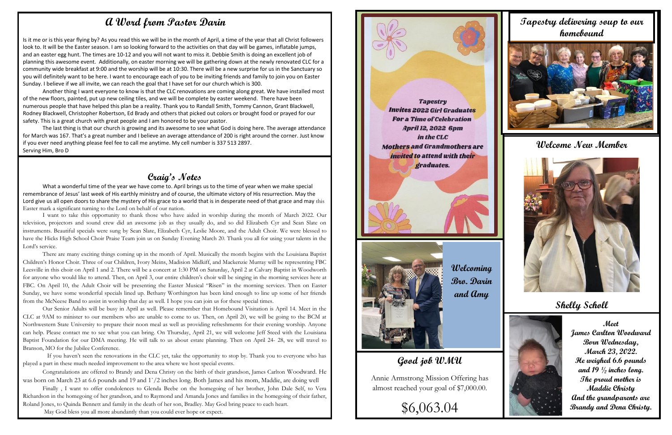#### **Craig's Notes**

What a wonderful time of the year we have come to. April brings us to the time of year when we make special remembrance of Jesus' last week of His earthly ministry and of course, the ultimate victory of His resurrection. May the Lord give us all open doors to share the mystery of His grace to a world that is in desperate need of that grace and may this Easter mark a significant turning to the Lord on behalf of our nation.

I want to take this opportunity to thank those who have aided in worship during the month of March 2022. Our television, projectors and sound crew did an awesome job as they usually do, and so did Elizabeth Cyr and Sean Slate on instruments. Beautiful specials were sung by Sean Slate, Elizabeth Cyr, Leslie Moore, and the Adult Choir. We were blessed to have the Hicks High School Choir Praise Team join us on Sunday Evening March 20. Thank you all for using your talents in the Lord's service.

can help. Please contact me to see what you can bring. On Thursday, April 21, we will welcome Jeff Steed with the Louisiana Our Senior Adults will be busy in April as well. Please remember that Homebound Visitation is April 14. Meet in the CLC at 9AM to minister to our members who are unable to come to us. Then, on April 20, we will be going to the BCM at Northwestern State University to prepare their noon meal as well as providing refreshments for their evening worship. Anyone Baptist Foundation for our DMA meeting. He will talk to us about estate planning. Then on April 24- 28, we will travel to Branson, MO for the Jubilee Conference.

There are many exciting things coming up in the month of April. Musically the month begins with the Louisiana Baptist Children's Honor Choir. Three of our Children, Ivory Meins, Madision Midkiff, and Mackenzie Murray will be representing FBC Leesville in this choir on April 1 and 2. There will be a concert at 1:30 PM on Saturday, April 2 at Calvary Baptist in Woodworth for anyone who would like to attend. Then, on April 3, our entire children's choir will be singing in the morning services here at FBC. On April 10, the Adult Choir will be presenting the Easter Musical "Risen" in the morning services. Then on Easter Sunday, we have some wonderful specials lined up. Bethany Worthington has been kind enough to line up some of her friends from the McNeese Band to assist in worship that day as well. I hope you can join us for these special times.

 If you haven't seen the renovations in the CLC yet, take the opportunity to stop by. Thank you to everyone who has played a part in these much needed improvement to the area where we host special events.

Congratulations are offered to Brandy and Dena Christy on the birth of their grandson, James Carlton Woodward. He was born on March 23 at 6.6 pounds and 19 and 1`/2 inches long. Both James and his mom, Maddie, are doing well

Finally , I want to offer condolences to Glenda Beebe on the homegoing of her brother, John Dale Self, to Vera Richardson in the homegoing of her grandson, and to Raymond and Amanda Jones and families in the homegoing of their father, Roland Jones, to Quinda Bennett and family in the death of her son, Bradley. May God bring peace to each heart.

May God bless you all more abundantly than you could ever hope or expect.

**Tapestry Invites 2022 Girl Graduates For a Time of Celebration April 12, 2022 6pm** in the CLC **Mothers and Grandmothers are** *invited to attend with their* graduates.

### **Good job WMU**

Annie Armstrong Mission Offering has almost reached your goal of \$7,000.00.

\$6,063.04

#### **Welcome New Member**



**Shelly Scholl**



#### **A Word from Pastor Darin**

Is it me or is this year flying by? As you read this we will be in the month of April, a time of the year that all Christ followers look to. It will be the Easter season. I am so looking forward to the activities on that day will be games, inflatable jumps, and an easter egg hunt. The times are 10-12 and you will not want to miss it. Debbie Smith is doing an excellent job of planning this awesome event. Additionally, on easter morning we will be gathering down at the newly renovated CLC for a community wide breakfast at 9:00 and the worship will be at 10:30. There will be a new surprise for us in the Sanctuary so you will definitely want to be here. I want to encourage each of you to be inviting friends and family to join you on Easter Sunday. I believe if we all invite, we can reach the goal that I have set for our church which is 300.

Another thing I want everyone to know is that the CLC renovations are coming along great. We have installed most of the new floors, painted, put up new ceiling tiles, and we will be complete by easter weekend. There have been numerous people that have helped this plan be a reality. Thank you to Randall Smith, Tommy Cannon, Grant Blackwell, Rodney Blackwell, Christopher Robertson, Ed Brady and others that picked out colors or brought food or prayed for our safety. This is a great church with great people and I am honored to be your pastor.

The last thing is that our church is growing and its awesome to see what God is doing here. The average attendance for March was 167. That's a great number and I believe an average attendance of 200 is right around the corner. Just know if you ever need anything please feel fee to call me anytime. My cell number is 337 513 2897. Serving Him, Bro D

#### **Tapestry delivering soup to our homebound**





**Welcoming Bro. Darin and Amy**

**Meet James Carlton Woodward Born Wednesday, March 23, 2022. He weighed 6.6 pounds and 19 ½ inches long. The proud mother is Maddie Christy And the grandparents are Brandy and Dena Christy.**